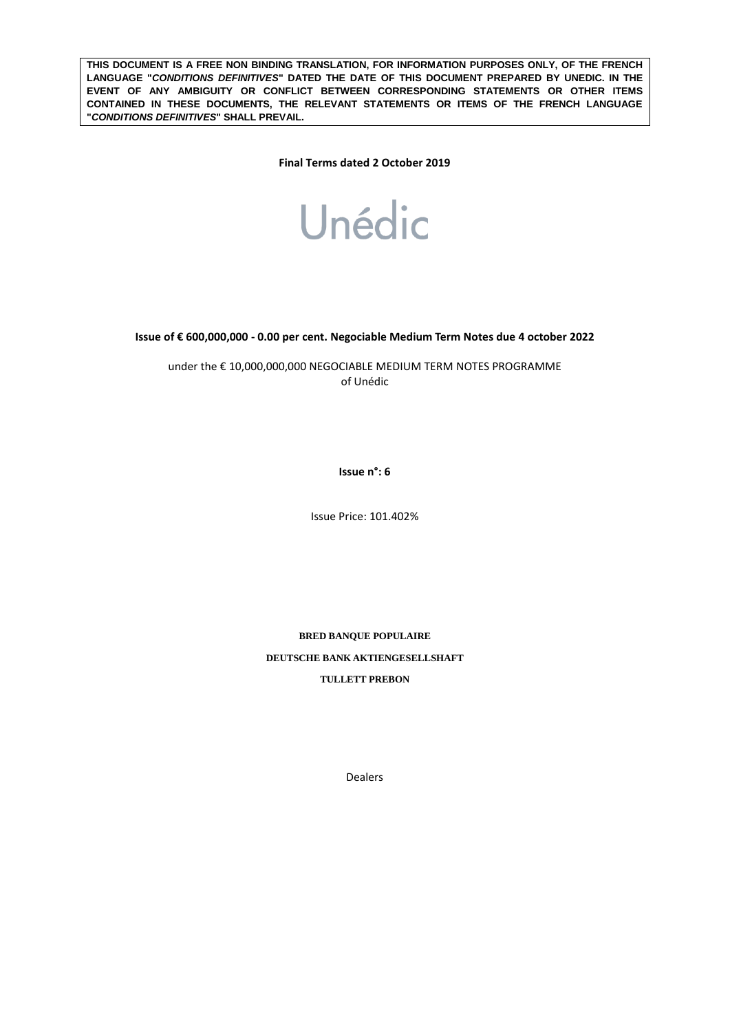**THIS DOCUMENT IS A FREE NON BINDING TRANSLATION, FOR INFORMATION PURPOSES ONLY, OF THE FRENCH LANGUAGE "***CONDITIONS DEFINITIVES***" DATED THE DATE OF THIS DOCUMENT PREPARED BY UNEDIC. IN THE EVENT OF ANY AMBIGUITY OR CONFLICT BETWEEN CORRESPONDING STATEMENTS OR OTHER ITEMS CONTAINED IN THESE DOCUMENTS, THE RELEVANT STATEMENTS OR ITEMS OF THE FRENCH LANGUAGE "***CONDITIONS DEFINITIVES***" SHALL PREVAIL.** 

**Final Terms dated 2 October 2019**



**Issue of € 600,000,000 - 0.00 per cent. Negociable Medium Term Notes due 4 october 2022**

under the € 10,000,000,000 NEGOCIABLE MEDIUM TERM NOTES PROGRAMME of Unédic

**Issue n°: 6**

Issue Price: 101.402%

**BRED BANQUE POPULAIRE DEUTSCHE BANK AKTIENGESELLSHAFT TULLETT PREBON**

Dealers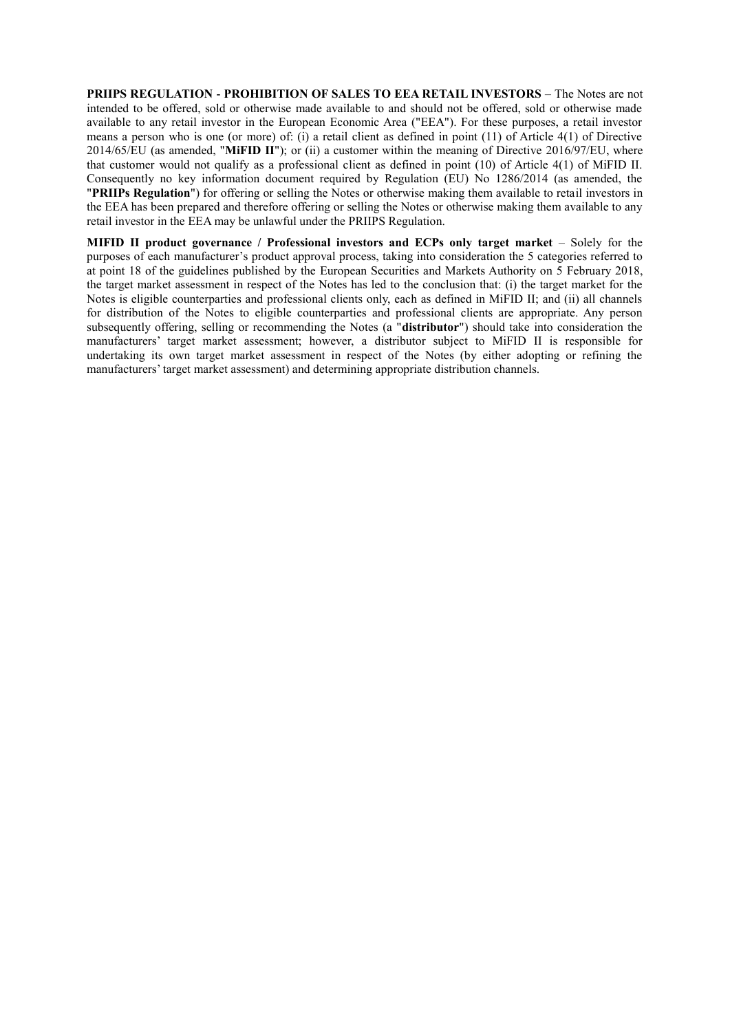**PRIIPS REGULATION - PROHIBITION OF SALES TO EEA RETAIL INVESTORS** – The Notes are not intended to be offered, sold or otherwise made available to and should not be offered, sold or otherwise made available to any retail investor in the European Economic Area ("EEA"). For these purposes, a retail investor means a person who is one (or more) of: (i) a retail client as defined in point (11) of Article 4(1) of Directive 2014/65/EU (as amended, "**MiFID II**"); or (ii) a customer within the meaning of Directive 2016/97/EU, where that customer would not qualify as a professional client as defined in point (10) of Article 4(1) of MiFID II. Consequently no key information document required by Regulation (EU) No 1286/2014 (as amended, the "**PRIIPs Regulation**") for offering or selling the Notes or otherwise making them available to retail investors in the EEA has been prepared and therefore offering or selling the Notes or otherwise making them available to any retail investor in the EEA may be unlawful under the PRIIPS Regulation.

**MIFID II product governance / Professional investors and ECPs only target market** – Solely for the purposes of each manufacturer's product approval process, taking into consideration the 5 categories referred to at point 18 of the guidelines published by the European Securities and Markets Authority on 5 February 2018, the target market assessment in respect of the Notes has led to the conclusion that: (i) the target market for the Notes is eligible counterparties and professional clients only, each as defined in MiFID II; and (ii) all channels for distribution of the Notes to eligible counterparties and professional clients are appropriate. Any person subsequently offering, selling or recommending the Notes (a "**distributor**") should take into consideration the manufacturers' target market assessment; however, a distributor subject to MiFID II is responsible for undertaking its own target market assessment in respect of the Notes (by either adopting or refining the manufacturers' target market assessment) and determining appropriate distribution channels.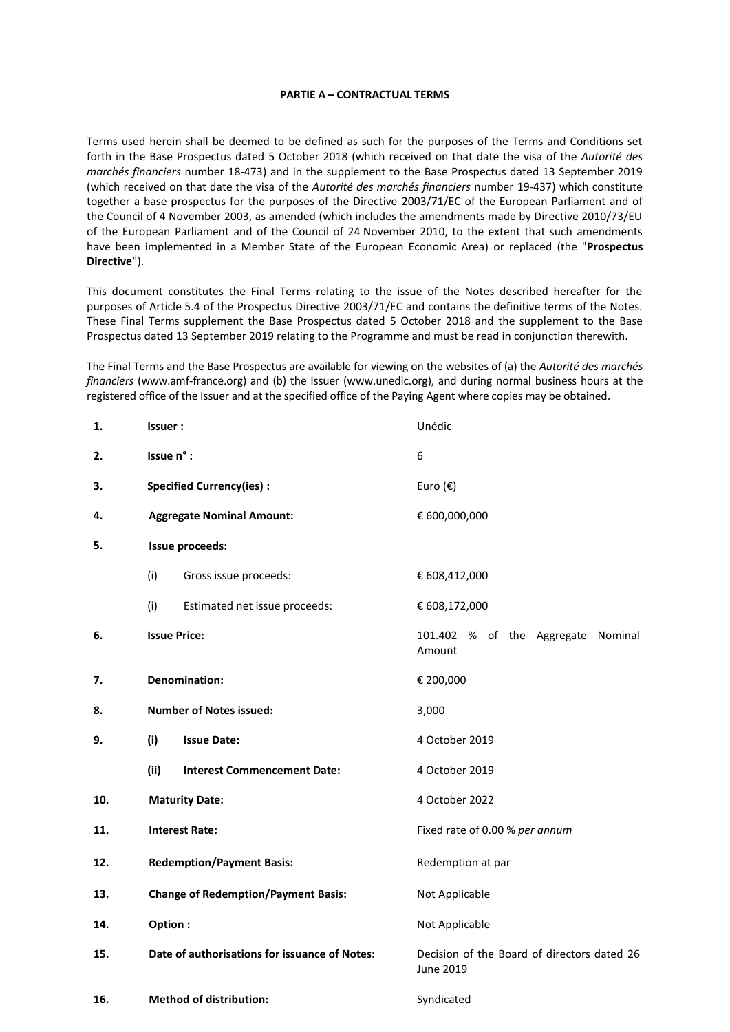#### **PARTIE A – CONTRACTUAL TERMS**

Terms used herein shall be deemed to be defined as such for the purposes of the Terms and Conditions set forth in the Base Prospectus dated 5 October 2018 (which received on that date the visa of the *Autorité des marchés financiers* number 18-473) and in the supplement to the Base Prospectus dated 13 September 2019 (which received on that date the visa of the *Autorité des marchés financiers* number 19-437) which constitute together a base prospectus for the purposes of the Directive 2003/71/EC of the European Parliament and of the Council of 4 November 2003, as amended (which includes the amendments made by Directive 2010/73/EU of the European Parliament and of the Council of 24 November 2010, to the extent that such amendments have been implemented in a Member State of the European Economic Area) or replaced (the "**Prospectus Directive**").

This document constitutes the Final Terms relating to the issue of the Notes described hereafter for the purposes of Article 5.4 of the Prospectus Directive 2003/71/EC and contains the definitive terms of the Notes. These Final Terms supplement the Base Prospectus dated 5 October 2018 and the supplement to the Base Prospectus dated 13 September 2019 relating to the Programme and must be read in conjunction therewith.

The Final Terms and the Base Prospectus are available for viewing on the websites of (a) the *Autorité des marchés financiers* (www.amf-france.org) and (b) the Issuer (www.unedic.org), and during normal business hours at the registered office of the Issuer and at the specified office of the Paying Agent where copies may be obtained.

| 1.  | Issuer:                                       | Unédic                                                   |  |
|-----|-----------------------------------------------|----------------------------------------------------------|--|
| 2.  | Issue n° :                                    | 6                                                        |  |
| 3.  | <b>Specified Currency(ies):</b>               | Euro $(\epsilon)$                                        |  |
| 4.  | <b>Aggregate Nominal Amount:</b>              | € 600,000,000                                            |  |
| 5.  | <b>Issue proceeds:</b>                        |                                                          |  |
|     | (i)<br>Gross issue proceeds:                  | € 608,412,000                                            |  |
|     | (i)<br>Estimated net issue proceeds:          | € 608,172,000                                            |  |
| 6.  | <b>Issue Price:</b>                           | 101.402 % of the Aggregate Nominal<br>Amount             |  |
| 7.  | <b>Denomination:</b>                          | € 200,000                                                |  |
| 8.  | <b>Number of Notes issued:</b>                | 3,000                                                    |  |
| 9.  | (i)<br><b>Issue Date:</b>                     | 4 October 2019                                           |  |
|     | (ii)<br><b>Interest Commencement Date:</b>    | 4 October 2019                                           |  |
| 10. | <b>Maturity Date:</b>                         | 4 October 2022                                           |  |
| 11. | <b>Interest Rate:</b>                         | Fixed rate of 0.00 % per annum                           |  |
| 12. | <b>Redemption/Payment Basis:</b>              | Redemption at par                                        |  |
| 13. | <b>Change of Redemption/Payment Basis:</b>    | Not Applicable                                           |  |
| 14. | Option:                                       | Not Applicable                                           |  |
| 15. | Date of authorisations for issuance of Notes: | Decision of the Board of directors dated 26<br>June 2019 |  |
| 16. | <b>Method of distribution:</b>                | Syndicated                                               |  |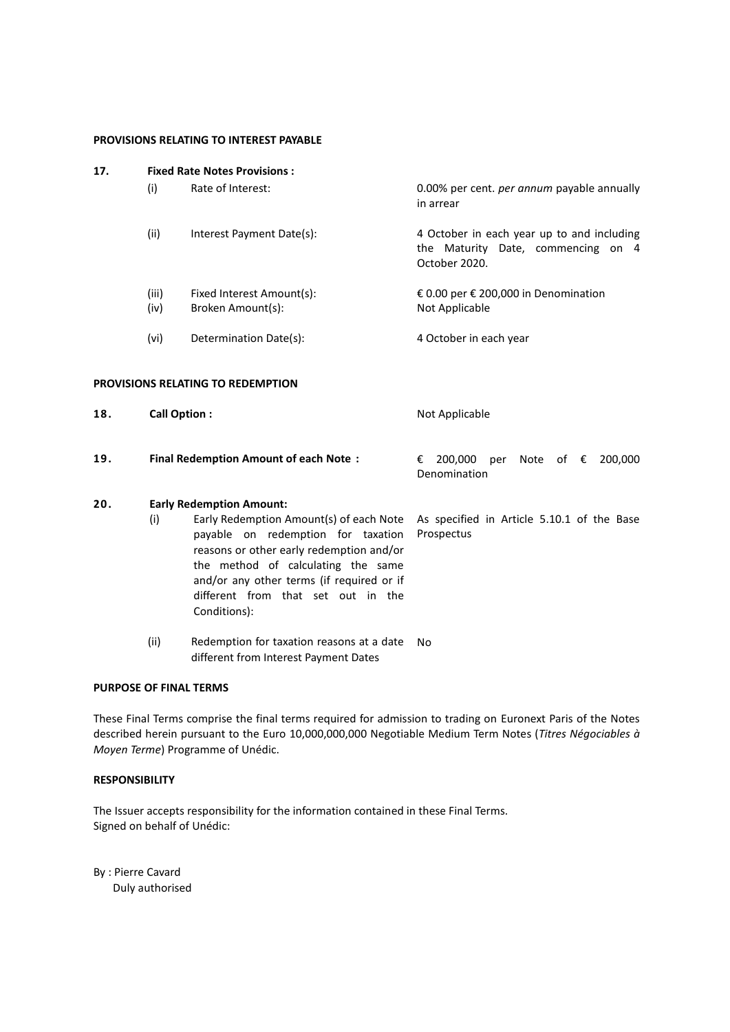#### **PROVISIONS RELATING TO INTEREST PAYABLE**

| 17. | <b>Fixed Rate Notes Provisions:</b> |                                                                                                                                                                                                                                                                    |                                                                                                   |  |
|-----|-------------------------------------|--------------------------------------------------------------------------------------------------------------------------------------------------------------------------------------------------------------------------------------------------------------------|---------------------------------------------------------------------------------------------------|--|
|     | (i)                                 | Rate of Interest:                                                                                                                                                                                                                                                  | 0.00% per cent. per annum payable annually<br>in arrear                                           |  |
|     | (ii)                                | Interest Payment Date(s):                                                                                                                                                                                                                                          | 4 October in each year up to and including<br>the Maturity Date, commencing on 4<br>October 2020. |  |
|     | (iii)<br>(iv)                       | Fixed Interest Amount(s):<br>Broken Amount(s):                                                                                                                                                                                                                     | € 0.00 per € 200,000 in Denomination<br>Not Applicable                                            |  |
|     | (vi)                                | Determination Date(s):                                                                                                                                                                                                                                             | 4 October in each year                                                                            |  |
|     |                                     | PROVISIONS RELATING TO REDEMPTION                                                                                                                                                                                                                                  |                                                                                                   |  |
| 18. | <b>Call Option:</b>                 |                                                                                                                                                                                                                                                                    | Not Applicable                                                                                    |  |
| 19. |                                     | <b>Final Redemption Amount of each Note:</b>                                                                                                                                                                                                                       | 200,000<br>Note<br>of $\epsilon$<br>200,000<br>€<br>per<br>Denomination                           |  |
| 20. |                                     | <b>Early Redemption Amount:</b>                                                                                                                                                                                                                                    |                                                                                                   |  |
|     | (i)                                 | Early Redemption Amount(s) of each Note<br>payable on redemption for taxation<br>reasons or other early redemption and/or<br>the method of calculating the same<br>and/or any other terms (if required or if<br>different from that set out in the<br>Conditions): | As specified in Article 5.10.1 of the Base<br>Prospectus                                          |  |
|     | (ii)                                | Redemption for taxation reasons at a date<br>different from Interest Payment Dates                                                                                                                                                                                 | No                                                                                                |  |

# **PURPOSE OF FINAL TERMS**

These Final Terms comprise the final terms required for admission to trading on Euronext Paris of the Notes described herein pursuant to the Euro 10,000,000,000 Negotiable Medium Term Notes (*Titres Négociables à Moyen Terme*) Programme of Unédic.

## **RESPONSIBILITY**

The Issuer accepts responsibility for the information contained in these Final Terms. Signed on behalf of Unédic:

By : Pierre Cavard Duly authorised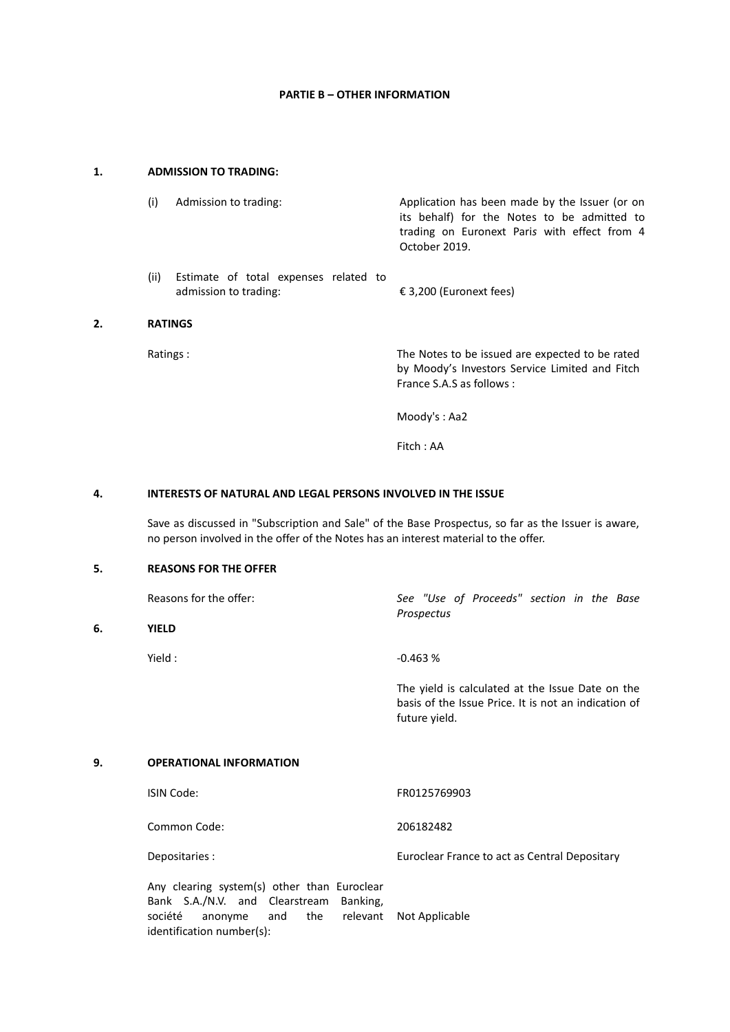## **PARTIE B – OTHER INFORMATION**

#### **1. ADMISSION TO TRADING:**

**2.** 

**6.** 

| (i)<br>Admission to trading:                                           | Application has been made by the Issuer (or on<br>its behalf) for the Notes to be admitted to<br>trading on Euronext Paris with effect from 4<br>October 2019. |  |
|------------------------------------------------------------------------|----------------------------------------------------------------------------------------------------------------------------------------------------------------|--|
| (ii)<br>Estimate of total expenses related to<br>admission to trading: | € 3,200 (Euronext fees)                                                                                                                                        |  |
| <b>RATINGS</b>                                                         |                                                                                                                                                                |  |
| Ratings:                                                               | The Notes to be issued are expected to be rated<br>by Moody's Investors Service Limited and Fitch<br>France S.A.S as follows:                                  |  |
|                                                                        | Moody's: Aa2                                                                                                                                                   |  |

Fitch : AA

### **4. INTERESTS OF NATURAL AND LEGAL PERSONS INVOLVED IN THE ISSUE**

Save as discussed in "Subscription and Sale" of the Base Prospectus, so far as the Issuer is aware, no person involved in the offer of the Notes has an interest material to the offer.

### **5. REASONS FOR THE OFFER**

| Reasons for the offer: | See "Use of Proceeds" section in the Base<br>Prospectus                                                  |
|------------------------|----------------------------------------------------------------------------------------------------------|
| YIELD                  |                                                                                                          |
| Yield :                | $-0.463%$                                                                                                |
|                        | The yield is calculated at the Issue Date on the<br>basis of the Issue Price. It is not an indication of |
|                        | future vield.                                                                                            |

#### **9. OPERATIONAL INFORMATION**

| ISIN Code:     | FR0125769903                                  |
|----------------|-----------------------------------------------|
| Common Code:   | 206182482                                     |
| Depositaries : | Euroclear France to act as Central Depositary |

| Any clearing system(s) other than Euroclear |                                                                                            |  |  |  |
|---------------------------------------------|--------------------------------------------------------------------------------------------|--|--|--|
|                                             |                                                                                            |  |  |  |
|                                             |                                                                                            |  |  |  |
| identification number(s):                   |                                                                                            |  |  |  |
|                                             | Bank S.A./N.V. and Clearstream Banking,<br>société anonyme and the relevant Not-Applicable |  |  |  |